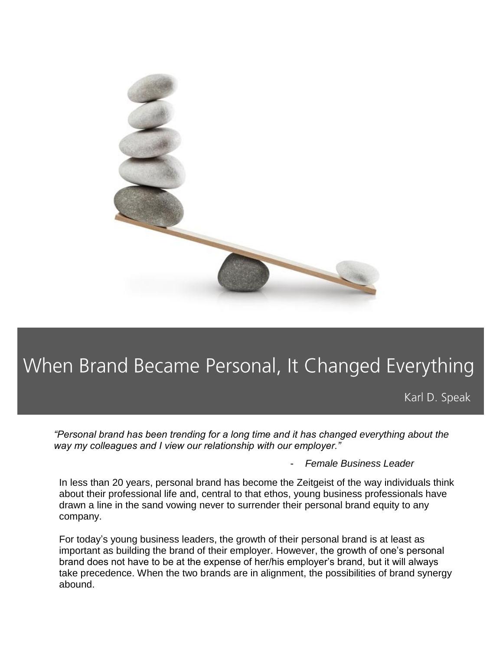

# When Brand Became Personal, It Changed Everything

Karl D. Speak

*"Personal brand has been trending for a long time and it has changed everything about the way my colleagues and I view our relationship with our employer."*

- *Female Business Leader*

In less than 20 years, personal brand has become the Zeitgeist of the way individuals think about their professional life and, central to that ethos, young business professionals have drawn a line in the sand vowing never to surrender their personal brand equity to any company.

For today's young business leaders, the growth of their personal brand is at least as important as building the brand of their employer. However, the growth of one's personal brand does not have to be at the expense of her/his employer's brand, but it will always take precedence. When the two brands are in alignment, the possibilities of brand synergy abound.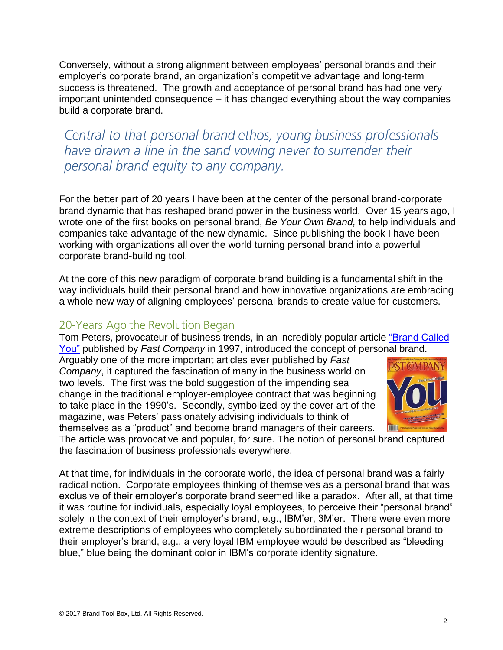Conversely, without a strong alignment between employees' personal brands and their employer's corporate brand, an organization's competitive advantage and long-term success is threatened. The growth and acceptance of personal brand has had one very important unintended consequence – it has changed everything about the way companies build a corporate brand.

Central to that personal brand ethos, young business professionals have drawn a line in the sand vowing never to surrender their personal brand equity to any company.

For the better part of 20 years I have been at the center of the personal brand-corporate brand dynamic that has reshaped brand power in the business world. Over 15 years ago, I wrote one of the first books on personal brand, *Be Your Own Brand,* to help individuals and companies take advantage of the new dynamic. Since publishing the book I have been working with organizations all over the world turning personal brand into a powerful corporate brand-building tool.

At the core of this new paradigm of corporate brand building is a fundamental shift in the way individuals build their personal brand and how innovative organizations are embracing a whole new way of aligning employees' personal brands to create value for customers.

#### 20-Years Ago the Revolution Began

Tom Peters, provocateur of business trends, in an incredibly popular article ["Brand Called](http://bit.ly/2iGU7tH)  [You"](http://bit.ly/2iGU7tH) published by *Fast Company* in 1997, introduced the concept of personal brand.

Arguably one of the more important articles ever published by *Fast Company*, it captured the fascination of many in the business world on two levels. The first was the bold suggestion of the impending sea change in the traditional employer-employee contract that was beginning to take place in the 1990's. Secondly, symbolized by the cover art of the magazine, was Peters' passionately advising individuals to think of themselves as a "product" and become brand managers of their careers.



The article was provocative and popular, for sure. The notion of personal brand captured the fascination of business professionals everywhere.

At that time, for individuals in the corporate world, the idea of personal brand was a fairly radical notion. Corporate employees thinking of themselves as a personal brand that was exclusive of their employer's corporate brand seemed like a paradox. After all, at that time it was routine for individuals, especially loyal employees, to perceive their "personal brand" solely in the context of their employer's brand, e.g., IBM'er, 3M'er. There were even more extreme descriptions of employees who completely subordinated their personal brand to their employer's brand, e.g., a very loyal IBM employee would be described as "bleeding blue," blue being the dominant color in IBM's corporate identity signature.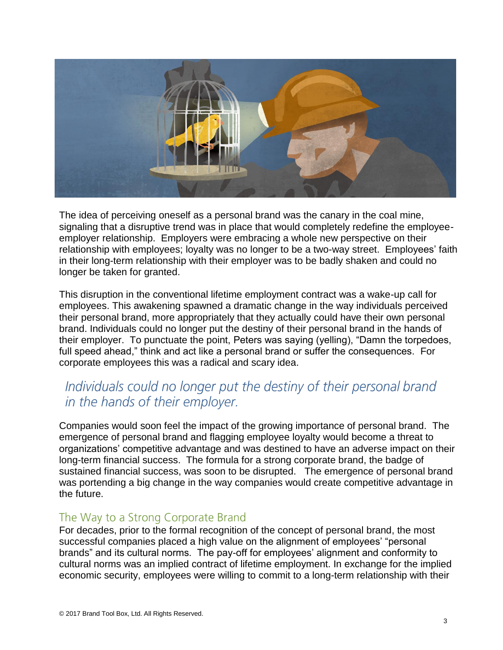

The idea of perceiving oneself as a personal brand was the canary in the coal mine, signaling that a disruptive trend was in place that would completely redefine the employeeemployer relationship. Employers were embracing a whole new perspective on their relationship with employees; loyalty was no longer to be a two-way street. Employees' faith in their long-term relationship with their employer was to be badly shaken and could no longer be taken for granted.

This disruption in the conventional lifetime employment contract was a wake-up call for employees. This awakening spawned a dramatic change in the way individuals perceived their personal brand, more appropriately that they actually could have their own personal brand. Individuals could no longer put the destiny of their personal brand in the hands of their employer. To punctuate the point, Peters was saying (yelling), "Damn the torpedoes, full speed ahead," think and act like a personal brand or suffer the consequences. For corporate employees this was a radical and scary idea.

## Individuals could no longer put the destiny of their personal brand in the hands of their employer.

Companies would soon feel the impact of the growing importance of personal brand. The emergence of personal brand and flagging employee loyalty would become a threat to organizations' competitive advantage and was destined to have an adverse impact on their long-term financial success. The formula for a strong corporate brand, the badge of sustained financial success, was soon to be disrupted. The emergence of personal brand was portending a big change in the way companies would create competitive advantage in the future.

#### The Way to a Strong Corporate Brand

For decades, prior to the formal recognition of the concept of personal brand, the most successful companies placed a high value on the alignment of employees' "personal brands" and its cultural norms. The pay-off for employees' alignment and conformity to cultural norms was an implied contract of lifetime employment. In exchange for the implied economic security, employees were willing to commit to a long-term relationship with their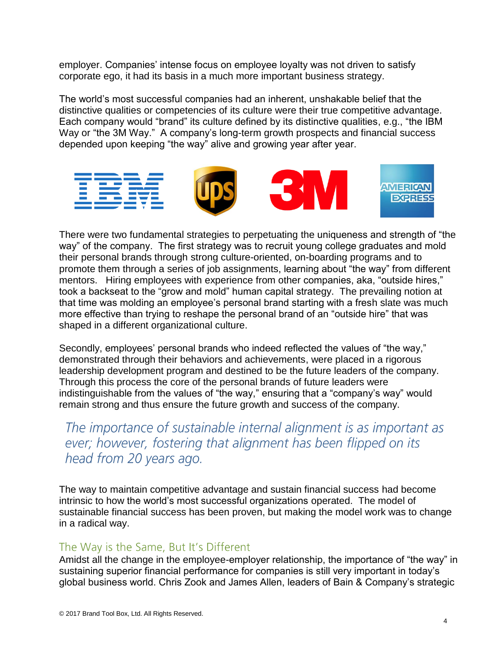employer. Companies' intense focus on employee loyalty was not driven to satisfy corporate ego, it had its basis in a much more important business strategy.

The world's most successful companies had an inherent, unshakable belief that the distinctive qualities or competencies of its culture were their true competitive advantage. Each company would "brand" its culture defined by its distinctive qualities, e.g., "the IBM Way or "the 3M Way." A company's long-term growth prospects and financial success depended upon keeping "the way" alive and growing year after year.



There were two fundamental strategies to perpetuating the uniqueness and strength of "the way" of the company. The first strategy was to recruit young college graduates and mold their personal brands through strong culture-oriented, on-boarding programs and to promote them through a series of job assignments, learning about "the way" from different mentors. Hiring employees with experience from other companies, aka, "outside hires," took a backseat to the "grow and mold" human capital strategy. The prevailing notion at that time was molding an employee's personal brand starting with a fresh slate was much more effective than trying to reshape the personal brand of an "outside hire" that was shaped in a different organizational culture.

Secondly, employees' personal brands who indeed reflected the values of "the way," demonstrated through their behaviors and achievements, were placed in a rigorous leadership development program and destined to be the future leaders of the company. Through this process the core of the personal brands of future leaders were indistinguishable from the values of "the way," ensuring that a "company's way" would remain strong and thus ensure the future growth and success of the company.

The importance of sustainable internal alignment is as important as ever; however, fostering that alignment has been flipped on its head from 20 years ago.

The way to maintain competitive advantage and sustain financial success had become intrinsic to how the world's most successful organizations operated. The model of sustainable financial success has been proven, but making the model work was to change in a radical way.

#### The Way is the Same, But It's Different

Amidst all the change in the employee-employer relationship, the importance of "the way" in sustaining superior financial performance for companies is still very important in today's global business world. Chris Zook and James Allen, leaders of Bain & Company's strategic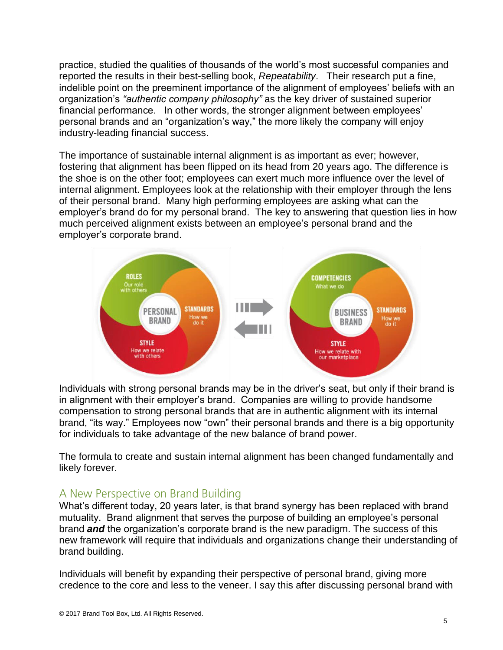practice, studied the qualities of thousands of the world's most successful companies and reported the results in their best-selling book, *Repeatability*. Their research put a fine, indelible point on the preeminent importance of the alignment of employees' beliefs with an organization's *"authentic company philosophy"* as the key driver of sustained superior financial performance. In other words, the stronger alignment between employees' personal brands and an "organization's way," the more likely the company will enjoy industry-leading financial success.

The importance of sustainable internal alignment is as important as ever; however, fostering that alignment has been flipped on its head from 20 years ago. The difference is the shoe is on the other foot; employees can exert much more influence over the level of internal alignment. Employees look at the relationship with their employer through the lens of their personal brand. Many high performing employees are asking what can the employer's brand do for my personal brand. The key to answering that question lies in how much perceived alignment exists between an employee's personal brand and the employer's corporate brand.



Individuals with strong personal brands may be in the driver's seat, but only if their brand is in alignment with their employer's brand. Companies are willing to provide handsome compensation to strong personal brands that are in authentic alignment with its internal brand, "its way." Employees now "own" their personal brands and there is a big opportunity for individuals to take advantage of the new balance of brand power.

The formula to create and sustain internal alignment has been changed fundamentally and likely forever.

#### A New Perspective on Brand Building

What's different today, 20 years later, is that brand synergy has been replaced with brand mutuality. Brand alignment that serves the purpose of building an employee's personal brand *and* the organization's corporate brand is the new paradigm. The success of this new framework will require that individuals and organizations change their understanding of brand building.

Individuals will benefit by expanding their perspective of personal brand, giving more credence to the core and less to the veneer. I say this after discussing personal brand with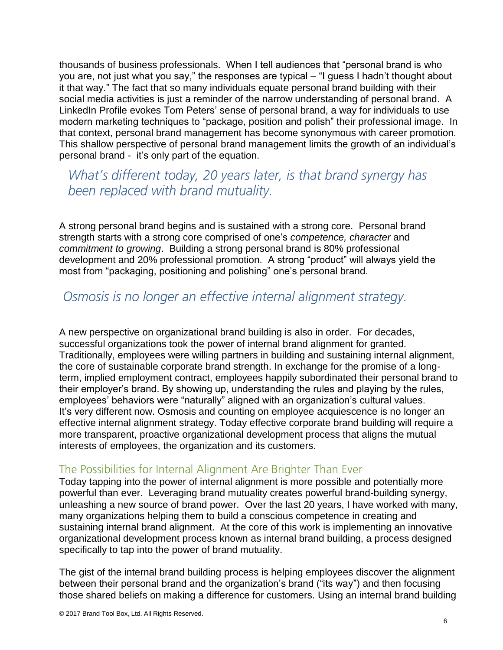thousands of business professionals. When I tell audiences that "personal brand is who you are, not just what you say," the responses are typical – "I guess I hadn't thought about it that way." The fact that so many individuals equate personal brand building with their social media activities is just a reminder of the narrow understanding of personal brand. A LinkedIn Profile evokes Tom Peters' sense of personal brand, a way for individuals to use modern marketing techniques to "package, position and polish" their professional image. In that context, personal brand management has become synonymous with career promotion. This shallow perspective of personal brand management limits the growth of an individual's personal brand - it's only part of the equation.

What's different today, 20 years later, is that brand synergy has been replaced with brand mutuality.

A strong personal brand begins and is sustained with a strong core. Personal brand strength starts with a strong core comprised of one's *competence, character* and *commitment to growing*. Building a strong personal brand is 80% professional development and 20% professional promotion. A strong "product" will always yield the most from "packaging, positioning and polishing" one's personal brand.

### Osmosis is no longer an effective internal alignment strategy.

A new perspective on organizational brand building is also in order. For decades, successful organizations took the power of internal brand alignment for granted. Traditionally, employees were willing partners in building and sustaining internal alignment, the core of sustainable corporate brand strength. In exchange for the promise of a longterm, implied employment contract, employees happily subordinated their personal brand to their employer's brand. By showing up, understanding the rules and playing by the rules, employees' behaviors were "naturally" aligned with an organization's cultural values. It's very different now. Osmosis and counting on employee acquiescence is no longer an effective internal alignment strategy. Today effective corporate brand building will require a more transparent, proactive organizational development process that aligns the mutual interests of employees, the organization and its customers.

#### The Possibilities for Internal Alignment Are Brighter Than Ever

Today tapping into the power of internal alignment is more possible and potentially more powerful than ever. Leveraging brand mutuality creates powerful brand-building synergy, unleashing a new source of brand power. Over the last 20 years, I have worked with many, many organizations helping them to build a conscious competence in creating and sustaining internal brand alignment. At the core of this work is implementing an innovative organizational development process known as internal brand building, a process designed specifically to tap into the power of brand mutuality.

The gist of the internal brand building process is helping employees discover the alignment between their personal brand and the organization's brand ("its way") and then focusing those shared beliefs on making a difference for customers. Using an internal brand building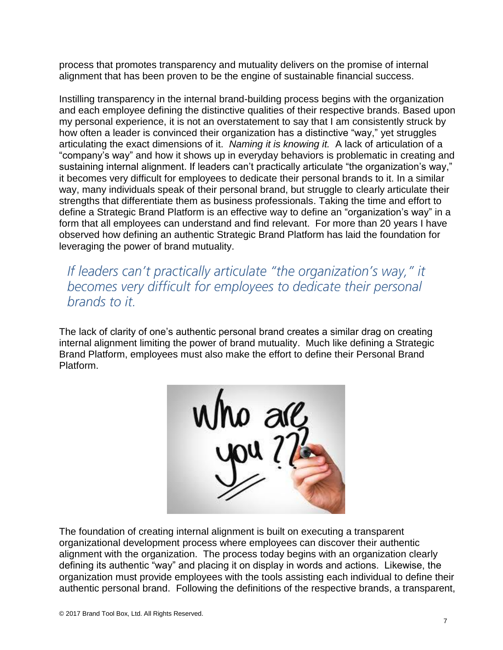process that promotes transparency and mutuality delivers on the promise of internal alignment that has been proven to be the engine of sustainable financial success.

Instilling transparency in the internal brand-building process begins with the organization and each employee defining the distinctive qualities of their respective brands. Based upon my personal experience, it is not an overstatement to say that I am consistently struck by how often a leader is convinced their organization has a distinctive "way," yet struggles articulating the exact dimensions of it. *Naming it is knowing it.* A lack of articulation of a "company's way" and how it shows up in everyday behaviors is problematic in creating and sustaining internal alignment. If leaders can't practically articulate "the organization's way," it becomes very difficult for employees to dedicate their personal brands to it. In a similar way, many individuals speak of their personal brand, but struggle to clearly articulate their strengths that differentiate them as business professionals. Taking the time and effort to define a Strategic Brand Platform is an effective way to define an "organization's way" in a form that all employees can understand and find relevant. For more than 20 years I have observed how defining an authentic Strategic Brand Platform has laid the foundation for leveraging the power of brand mutuality.

If leaders can't practically articulate "the organization's way," it becomes very difficult for employees to dedicate their personal brands to it.

The lack of clarity of one's authentic personal brand creates a similar drag on creating internal alignment limiting the power of brand mutuality. Much like defining a Strategic Brand Platform, employees must also make the effort to define their Personal Brand Platform.



The foundation of creating internal alignment is built on executing a transparent organizational development process where employees can discover their authentic alignment with the organization. The process today begins with an organization clearly defining its authentic "way" and placing it on display in words and actions. Likewise, the organization must provide employees with the tools assisting each individual to define their authentic personal brand. Following the definitions of the respective brands, a transparent,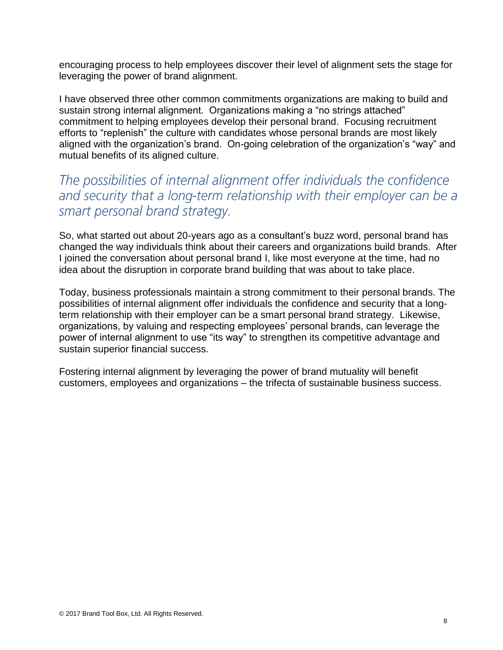encouraging process to help employees discover their level of alignment sets the stage for leveraging the power of brand alignment.

I have observed three other common commitments organizations are making to build and sustain strong internal alignment. Organizations making a "no strings attached" commitment to helping employees develop their personal brand. Focusing recruitment efforts to "replenish" the culture with candidates whose personal brands are most likely aligned with the organization's brand. On-going celebration of the organization's "way" and mutual benefits of its aligned culture.

The possibilities of internal alignment offer individuals the confidence and security that a long-term relationship with their employer can be a smart personal brand strategy.

So, what started out about 20-years ago as a consultant's buzz word, personal brand has changed the way individuals think about their careers and organizations build brands. After I joined the conversation about personal brand I, like most everyone at the time, had no idea about the disruption in corporate brand building that was about to take place.

Today, business professionals maintain a strong commitment to their personal brands. The possibilities of internal alignment offer individuals the confidence and security that a longterm relationship with their employer can be a smart personal brand strategy. Likewise, organizations, by valuing and respecting employees' personal brands, can leverage the power of internal alignment to use "its way" to strengthen its competitive advantage and sustain superior financial success.

Fostering internal alignment by leveraging the power of brand mutuality will benefit customers, employees and organizations – the trifecta of sustainable business success.